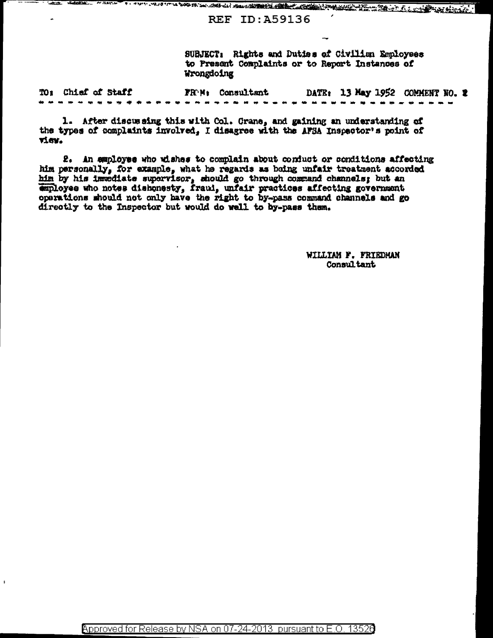WILLIAM TO THE ROOM OF THE COMPANY AND COMPANY COMPANY AND COMPANY AND COMPANY OF THE COMPANY OF THE COMPANY OF THE COMPANY OF THE COMPANY OF THE COMPANY OF THE COMPANY OF THE COMPANY OF THE COMPANY OF THE COMPANY OF THE C

**REF ID: A59136** 

SUBJECT: Rights and Duties of Civilian Employees to Present Complaints or to Report Instances of Wrongdoing

FROM: Consultant DATE: 13 May 1952 COMMENT NO. 2 TO: Chief of Staff ----------------

1. After discussing this with Col. Grane, and gaining an understanding of the types of complaints involved, I disagree with the AFSA Inspector's point of view.

2. An employee who wishes to complain about conduct or conditions affecting him personally, for example, what he regards as being unfair treatment accorded him by his immediate supervisor, should go through command channels; but an employee who notes dishonesty, fraul, unfair practices affecting government operations should not only have the right to by-pass command channels and go directly to the Inspector but would do well to by-pass them.

> WILLIAM F. FRIEDMAN Consul tant

 $\epsilon$